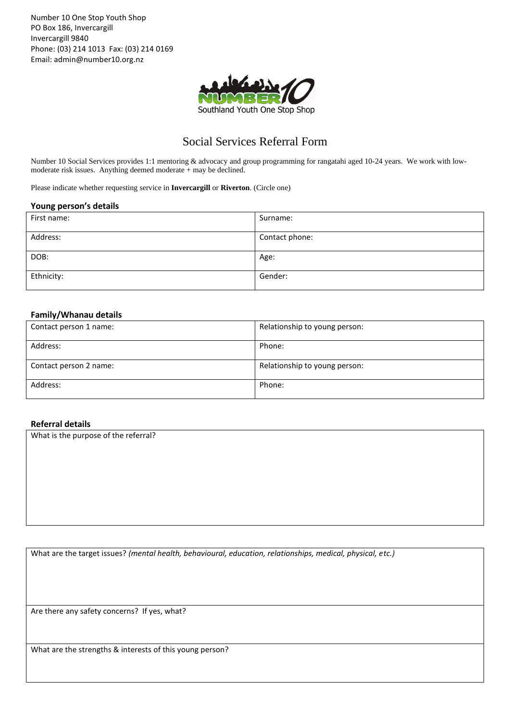Number 10 One Stop Youth Shop PO Box 186, Invercargill Invercargill 9840 Phone: (03) 214 1013 Fax: (03) 214 0169 Email: admin@number10.org.nz



# Social Services Referral Form

Number 10 Social Services provides 1:1 mentoring & advocacy and group programming for rangatahi aged 10-24 years. We work with lowmoderate risk issues. Anything deemed moderate + may be declined.

Please indicate whether requesting service in **Invercargill** or **Riverton**. (Circle one)

#### **Young person's details**

| First name: | Surname:       |
|-------------|----------------|
| Address:    | Contact phone: |
| DOB:        | Age:           |
| Ethnicity:  | Gender:        |

## **Family/Whanau details**

| Contact person 1 name: | Relationship to young person: |
|------------------------|-------------------------------|
| Address:               | Phone:                        |
| Contact person 2 name: | Relationship to young person: |
| Address:               | Phone:                        |

### **Referral details**

What is the purpose of the referral?

What are the target issues? *(mental health, behavioural, education, relationships, medical, physical, etc.)*

Are there any safety concerns? If yes, what?

What are the strengths & interests of this young person?